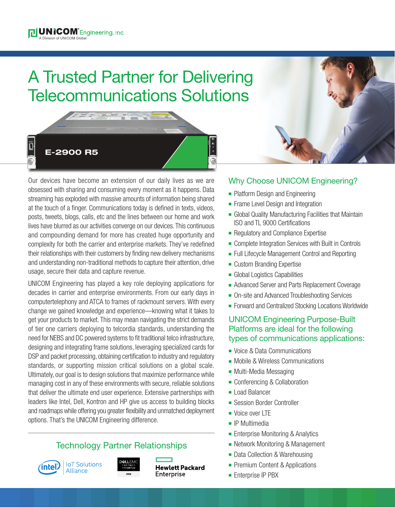# A Trusted Partner for Delivering Telecommunications Solutions



and the lines common

Our devices have become an extension of our daily lives as we are obsessed with sharing and consuming every moment as it happens. Data streaming has exploded with massive amounts of information being shared at the touch of a finger. Communications today is defined in texts, videos, posts, tweets, blogs, calls, etc and the lines between our home and work lives have blurred as our activities converge on our devices. This continuous and compounding demand for more has created huge opportunity and complexity for both the carrier and enterprise markets. They've redefined their relationships with their customers by finding new delivery mechanisms and understanding non-traditional methods to capture their attention, drive usage, secure their data and capture revenue.

UNICOM Engineering has played a key role deploying applications for decades in carrier and enterprise environments. From our early days in computertelephony and ATCA to frames of rackmount servers. With every change we gained knowledge and experience—knowing what it takes to get your products to market. This may mean navigating the strict demands of tier one carriers deploying to telcordia standards, understanding the need for NEBS and DC powered systems to fit traditional telco infrastructure, designing and integrating frame solutions, leveraging specialized cards for DSP and packet processing, obtaining certification to industry and regulatory standards, or supporting mission critical solutions on a global scale. Ultimately, our goal is to design solutions that maximize performance while managing cost in any of these environments with secure, reliable solutions that deliver the ultimate end user experience. Extensive partnerships with leaders like Intel, Dell, Kontron and HP give us access to building blocks and roadmaps while offering you greater flexibility and unmatched deployment options. That's the UNICOM Engineering difference.

## Technology Partner Relationships







**Hewlett Packard** Enterprise

### Why Choose UNICOM Engineering?

- Platform Design and Engineering
- Frame Level Design and Integration
- **Example 2** Global Quality Manufacturing Facilities that Maintain ISO and TL 9000 Certifications
- Regulatory and Compliance Expertise
- Complete Integration Services with Built in Controls
- Full Lifecycle Management Control and Reporting
- **Custom Branding Expertise**
- **n** Global Logistics Capabilities
- Advanced Server and Parts Replacement Coverage
- On-site and Advanced Troubleshooting Services
- Forward and Centralized Stocking Locations Worldwide

### UNICOM Engineering Purpose-Built Platforms are ideal for the following types of communications applications:

- Voice & Data Communications
- Mobile & Wireless Communications
- Multi-Media Messaging
- Conferencing & Collaboration
- **n** Load Balancer
- **Exercise Border Controller**
- **Noice over LTF**
- $\blacksquare$  IP Multimedia
- **Enterprise Monitoring & Analytics**
- **Network Monitoring & Management**
- Data Collection & Warehousing
- Premium Content & Applications
- **Enterprise IP PBX**